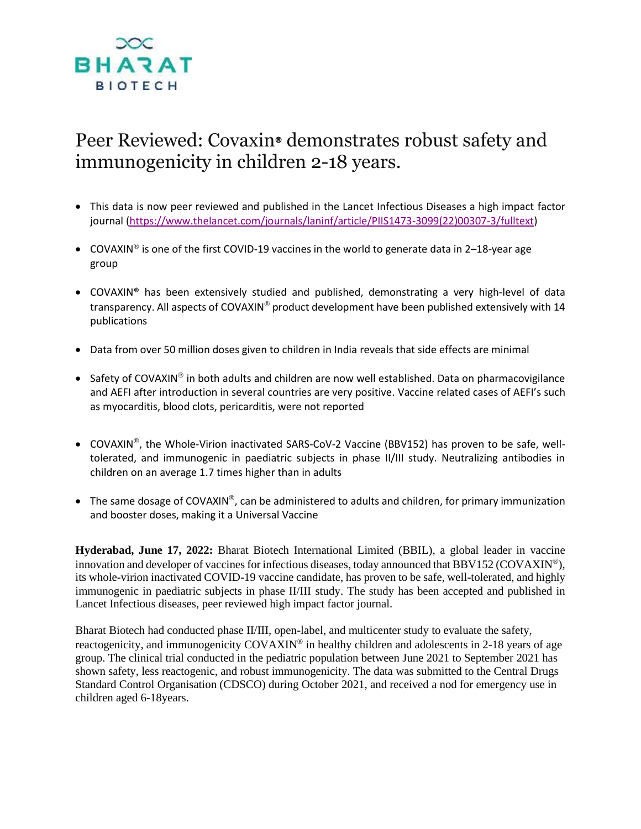

## Peer Reviewed: Covaxin<sup>®</sup> demonstrates robust safety and immunogenicity in children 2-18 years.

- This data is now peer reviewed and published in the Lancet Infectious Diseases a high impact factor journal [\(https://www.thelancet.com/journals/laninf/article/PIIS1473-3099\(22\)00307-3/fulltext\)](https://secure-web.cisco.com/1nNpzL3giwUYDBXThJZKc3sVCprciDQtDqfHTxXT9HtrxzExdAI3GQw5xBc4-duC6tBdmecQZUrU9qW6YDftHaG8pkAhvG7CMMQIjuAyKQ-brhOifayS0mktmaGiNbByfg0TSR0ILA1pWZlZtu3TJIvm4qdpGbbTPu9yzms592UuJeRtQnLTLgbue9Uh9m6pSmhrlF0OFt24JU40bduzq-9Vn-tlCvk6KLhrgsvC6WTqGqt1tmKPkjznSRP-O2VfBkzsO4Zdws7Hvd06_n0Egjkd4WztJdJkeqH7-X9BC8vdCep8HhIiZDxbXj_ZyW4WpgL1q8PlmAqe7K4x8nQr8i7PBtsIs8ThDWjAJQN5aUp2dhw0xLiKSIH_AMKMOwKzU/https%3A%2F%2Fwww.thelancet.com%2Fjournals%2Flaninf%2Farticle%2FPIIS1473-3099%2822%2900307-3%2Ffulltext)
- COVAXIN<sup>®</sup> is one of the first COVID-19 vaccines in the world to generate data in 2–18-year age group
- COVAXIN® has been extensively studied and published, demonstrating a very high-level of data transparency. All aspects of COVAXIN® product development have been published extensively with 14 publications
- Data from over 50 million doses given to children in India reveals that side effects are minimal
- Safety of COVAXIN® in both adults and children are now well established. Data on pharmacovigilance and AEFI after introduction in several countries are very positive. Vaccine related cases of AEFI's such as myocarditis, blood clots, pericarditis, were not reported
- COVAXIN®, the Whole-Virion inactivated SARS-CoV-2 Vaccine (BBV152) has proven to be safe, welltolerated, and immunogenic in paediatric subjects in phase II/III study. Neutralizing antibodies in children on an average 1.7 times higher than in adults
- The same dosage of COVAXIN®, can be administered to adults and children, for primary immunization and booster doses, making it a Universal Vaccine

**Hyderabad, June 17, 2022:** Bharat Biotech International Limited (BBIL), a global leader in vaccine innovation and developer of vaccines for infectious diseases, today announced that BBV152 (COVAXIN<sup>®</sup>), its whole-virion inactivated COVID-19 vaccine candidate, has proven to be safe, well-tolerated, and highly immunogenic in paediatric subjects in phase II/III study. The study has been accepted and published in Lancet Infectious diseases, peer reviewed high impact factor journal.

Bharat Biotech had conducted phase II/III, open-label, and multicenter study to evaluate the safety, reactogenicity, and immunogenicity COVAXIN<sup>®</sup> in healthy children and adolescents in 2-18 years of age group. The clinical trial conducted in the pediatric population between June 2021 to September 2021 has shown safety, less reactogenic, and robust immunogenicity. The data was submitted to the Central Drugs Standard Control Organisation (CDSCO) during October 2021, and received a nod for emergency use in children aged 6-18years.